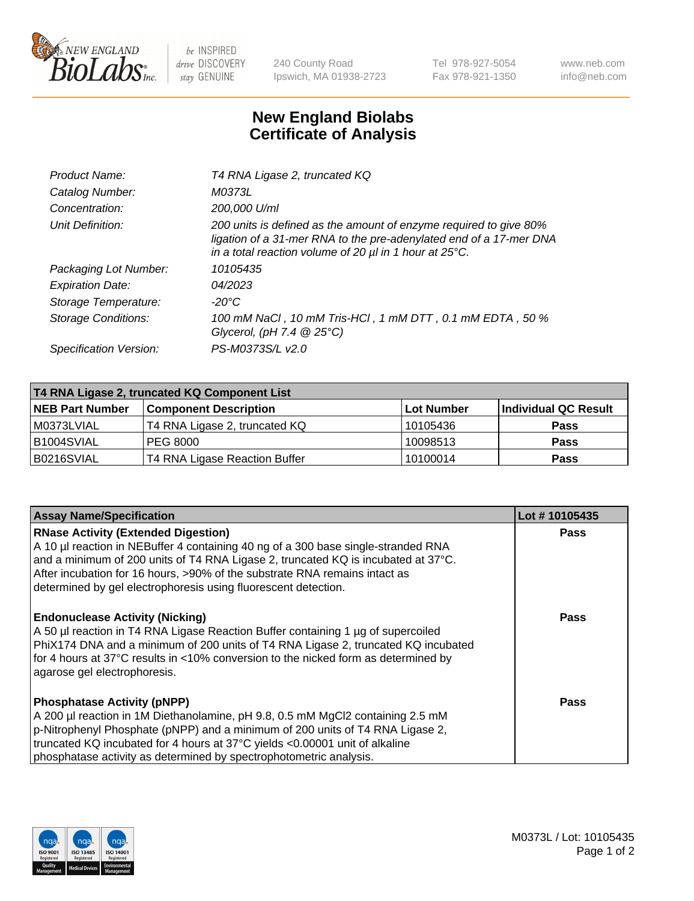

 $be$  INSPIRED drive DISCOVERY stay GENUINE

240 County Road Ipswich, MA 01938-2723 Tel 978-927-5054 Fax 978-921-1350 www.neb.com info@neb.com

## **New England Biolabs Certificate of Analysis**

| Product Name:              | T4 RNA Ligase 2, truncated KQ                                                                                                                                                                                    |
|----------------------------|------------------------------------------------------------------------------------------------------------------------------------------------------------------------------------------------------------------|
| Catalog Number:            | M0373L                                                                                                                                                                                                           |
| Concentration:             | 200,000 U/ml                                                                                                                                                                                                     |
| Unit Definition:           | 200 units is defined as the amount of enzyme required to give 80%<br>ligation of a 31-mer RNA to the pre-adenylated end of a 17-mer DNA<br>in a total reaction volume of 20 $\mu$ l in 1 hour at 25 $\degree$ C. |
| Packaging Lot Number:      | 10105435                                                                                                                                                                                                         |
| <b>Expiration Date:</b>    | 04/2023                                                                                                                                                                                                          |
| Storage Temperature:       | -20°C                                                                                                                                                                                                            |
| <b>Storage Conditions:</b> | 100 mM NaCl, 10 mM Tris-HCl, 1 mM DTT, 0.1 mM EDTA, 50 %<br>Glycerol, (pH 7.4 $@25°C$ )                                                                                                                          |
| Specification Version:     | PS-M0373S/L v2.0                                                                                                                                                                                                 |

| T4 RNA Ligase 2, truncated KQ Component List |                               |                   |                      |  |
|----------------------------------------------|-------------------------------|-------------------|----------------------|--|
| <b>NEB Part Number</b>                       | <b>Component Description</b>  | <b>Lot Number</b> | Individual QC Result |  |
| l M0373LVIAL                                 | T4 RNA Ligase 2, truncated KQ | 10105436          | <b>Pass</b>          |  |
| B1004SVIAL                                   | <b>PEG 8000</b>               | 10098513          | <b>Pass</b>          |  |
| B0216SVIAL                                   | T4 RNA Ligase Reaction Buffer | 10100014          | <b>Pass</b>          |  |

| <b>Assay Name/Specification</b>                                                                                                                                                                                                                                                                                                                                      | Lot #10105435 |
|----------------------------------------------------------------------------------------------------------------------------------------------------------------------------------------------------------------------------------------------------------------------------------------------------------------------------------------------------------------------|---------------|
| <b>RNase Activity (Extended Digestion)</b><br>A 10 µl reaction in NEBuffer 4 containing 40 ng of a 300 base single-stranded RNA<br>and a minimum of 200 units of T4 RNA Ligase 2, truncated KQ is incubated at 37°C.<br>After incubation for 16 hours, >90% of the substrate RNA remains intact as<br>determined by gel electrophoresis using fluorescent detection. | Pass          |
| <b>Endonuclease Activity (Nicking)</b><br>A 50 µl reaction in T4 RNA Ligase Reaction Buffer containing 1 µg of supercoiled<br>PhiX174 DNA and a minimum of 200 units of T4 RNA Ligase 2, truncated KQ incubated<br>for 4 hours at 37°C results in <10% conversion to the nicked form as determined by<br>agarose gel electrophoresis.                                | Pass          |
| <b>Phosphatase Activity (pNPP)</b><br>A 200 µl reaction in 1M Diethanolamine, pH 9.8, 0.5 mM MgCl2 containing 2.5 mM<br>p-Nitrophenyl Phosphate (pNPP) and a minimum of 200 units of T4 RNA Ligase 2,<br>truncated KQ incubated for 4 hours at 37°C yields <0.00001 unit of alkaline<br>phosphatase activity as determined by spectrophotometric analysis.           | Pass          |